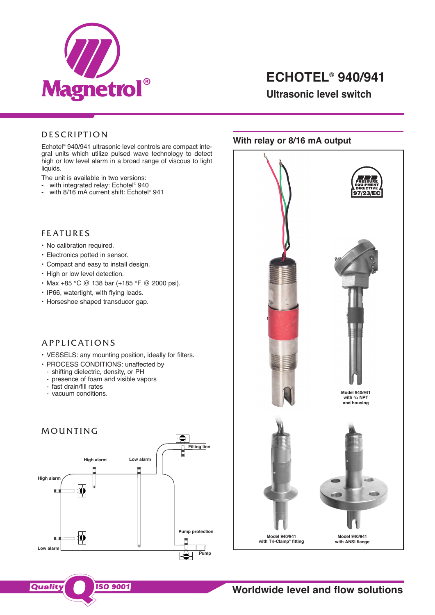

# **ECHOTEL® 940/941**

**Ultrasonic level switch**

## **DESCRIPTION**

Echotel ® 940/941 ultrasonic level controls are compact integral units which utilize pulsed wave technology to detect high or low level alarm in a broad range of viscous to light liquids.

The unit is available in two versions:

- with integrated relay: Echotel ® 940
- with 8/16 mA current shift: Echotel ® 941

### **FEATURES**

- No calibration required.
- Electronics potted in sensor.
- Compact and easy to install design.
- High or low level detection.
- Max +85 °C @ 138 bar (+185 °F @ 2000 psi).
- IP66, watertight, with flying leads.
- Horseshoe shaped transducer gap.

## A P P L I C A T I O N S

- VESSELS: any mounting position, ideally for filters.
- PROCESS CONDITIONS: unaffected by
	- shifting dielectric, density, or PH
	- presence of foam and visible vapors
	- fast drain/fill rates
	- vacuum conditions.





**ISO 9001** 

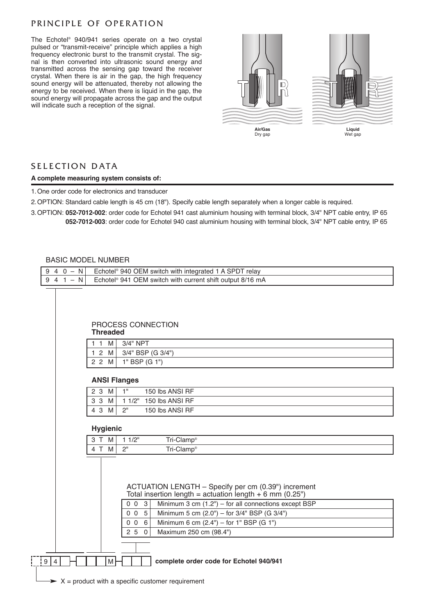## PRINCIPLE OF OPERATION

The Echotel ® 940/941 series operate on a two crystal pulsed or "transmit-receive" principle which applies a high frequency electronic burst to the transmit crystal. The signal is then converted into ultrasonic sound energy and transmitted across the sensing gap toward the receiver crystal. When there is air in the gap, the high frequency sound energy will be attenuated, thereby not allowing the energy to be received. When there is liquid in the gap, the sound energy will propagate across the gap and the output will indicate such a reception of the signal.



## SELECTION DATA

### **A complete measuring system consists of:**

1.One order code for electronics and transducer

2.OPTION: Standard cable length is 45 cm (18"). Specify cable length separately when a longer cable is required.

9 4 0 – N Echotel® 940 OEM switch with integrated 1 A SPDT relay

3.OPTION: **052-7012-002**: order code for Echotel 941 cast aluminium housing with terminal block, 3/4" NPT cable entry, IP 65 **052-7012-003**: order code for Echotel 940 cast aluminium housing with terminal block, 3/4" NPT cable entry, IP 65

### BASIC MODEL NUMBER

Ē

| 9<br>$4 1 - N$ |                                       | Echotel <sup>®</sup> 941 OEM switch with current shift output 8/16 mA            |  |  |  |  |
|----------------|---------------------------------------|----------------------------------------------------------------------------------|--|--|--|--|
|                |                                       |                                                                                  |  |  |  |  |
|                |                                       |                                                                                  |  |  |  |  |
|                |                                       |                                                                                  |  |  |  |  |
|                | PROCESS CONNECTION<br><b>Threaded</b> |                                                                                  |  |  |  |  |
|                | $11$ M                                | 3/4" NPT                                                                         |  |  |  |  |
|                | $1\,2$<br>M                           | 3/4" BSP (G 3/4")                                                                |  |  |  |  |
|                | 2 2 M                                 | 1" BSP (G 1")                                                                    |  |  |  |  |
|                | <b>ANSI Flanges</b>                   |                                                                                  |  |  |  |  |
|                | 2 3 M                                 | 1"<br>150 lbs ANSI RF                                                            |  |  |  |  |
|                | 3 <sub>3</sub><br>M                   | 1 1/2" 150 lbs ANSI RF                                                           |  |  |  |  |
|                | 4 3 M                                 | 2"<br>150 lbs ANSI RF                                                            |  |  |  |  |
|                | <b>Hygienic</b>                       |                                                                                  |  |  |  |  |
|                | 3 T M                                 | 11/2"<br>Tri-Clamp®                                                              |  |  |  |  |
|                | 4 T M                                 | 2 <sup>n</sup><br>Tri-Clamp <sup>®</sup>                                         |  |  |  |  |
|                |                                       |                                                                                  |  |  |  |  |
|                |                                       |                                                                                  |  |  |  |  |
|                |                                       |                                                                                  |  |  |  |  |
|                |                                       | ACTUATION LENGTH - Specify per cm (0.39") increment                              |  |  |  |  |
|                |                                       | Total insertion length = actuation length $+ 6$ mm (0.25")                       |  |  |  |  |
|                |                                       | $\mathbf{3}$<br>Minimum 3 cm $(1.2")$ – for all connections except BSP<br>$0\,0$ |  |  |  |  |
|                |                                       | $5\phantom{.0}$<br>Minimum 5 cm (2.0") - for 3/4" BSP (G 3/4")<br>0 <sub>0</sub> |  |  |  |  |
|                |                                       | Minimum 6 cm $(2.4")$ – for 1" BSP $(G 1")$<br>$0\quad0\quad6$                   |  |  |  |  |
|                |                                       | 250<br>Maximum 250 cm (98.4")                                                    |  |  |  |  |
|                |                                       |                                                                                  |  |  |  |  |
| 9 4            | M                                     | complete order code for Echotel 940/941                                          |  |  |  |  |
|                |                                       |                                                                                  |  |  |  |  |
|                |                                       | $\rightarrow$ X = product with a specific customer requirement                   |  |  |  |  |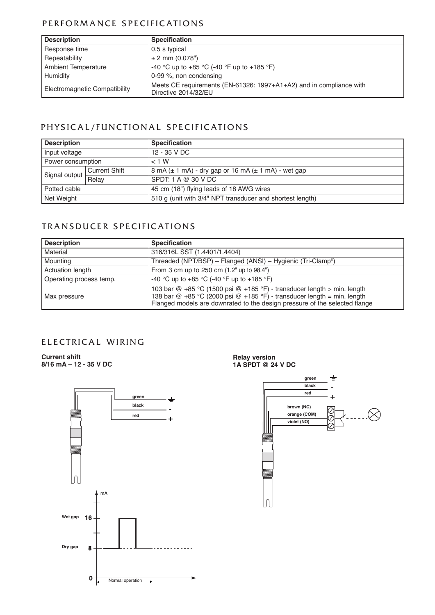## PERFORMANCE SPECIFICATIONS

| <b>Description</b>            | <b>Specification</b>                                                                        |
|-------------------------------|---------------------------------------------------------------------------------------------|
| Response time                 | 0.5 s typical                                                                               |
| Repeatability                 | $± 2$ mm (0.078")                                                                           |
| <b>Ambient Temperature</b>    | -40 °C up to +85 °C (-40 °F up to +185 °F)                                                  |
| Humidity                      | 0-99 %, non condensing                                                                      |
| Electromagnetic Compatibility | Meets CE requirements (EN-61326: 1997+A1+A2) and in compliance with<br>Directive 2014/32/EU |

## PHYSICAL/FUNCTIONAL SPECIFICATIONS

| <b>Description</b> |                      | <b>Specification</b>                                        |
|--------------------|----------------------|-------------------------------------------------------------|
| Input voltage      |                      | 12 - 35 V DC                                                |
| Power consumption  |                      | $< 1$ W                                                     |
| Signal output      | <b>Current Shift</b> | 8 mA $(\pm 1$ mA) - dry gap or 16 mA $(\pm 1$ mA) - wet gap |
|                    | Relay                | SPDT: 1 A @ 30 V DC                                         |
| Potted cable       |                      | 45 cm (18") flying leads of 18 AWG wires                    |
| Net Weight         |                      | 510 g (unit with 3/4" NPT transducer and shortest length)   |

## TRANSDUCER SPECIFICATIONS

| <b>Description</b>      | <b>Specification</b>                                                                                                                                                                                                             |
|-------------------------|----------------------------------------------------------------------------------------------------------------------------------------------------------------------------------------------------------------------------------|
| Material                | 316/316L SST (1.4401/1.4404)                                                                                                                                                                                                     |
| Mounting                | Threaded (NPT/BSP) - Flanged (ANSI) - Hygienic (Tri-Clamp®)                                                                                                                                                                      |
| Actuation length        | From 3 cm up to 250 cm (1.2" up to 98.4")                                                                                                                                                                                        |
| Operating process temp. | -40 °C up to +85 °C (-40 °F up to +185 °F)                                                                                                                                                                                       |
| Max pressure            | 103 bar @ +85 °C (1500 psi @ +185 °F) - transducer length > min. length<br>138 bar @ +85 °C (2000 psi @ +185 °F) - transducer length = min. length<br>Flanged models are downrated to the design pressure of the selected flange |

## ELECTRICAL WIRING

**Current shift 8/16 mA – 12 - 35 V DC**



**Relay version 1A SPDT @ 24 V DC**